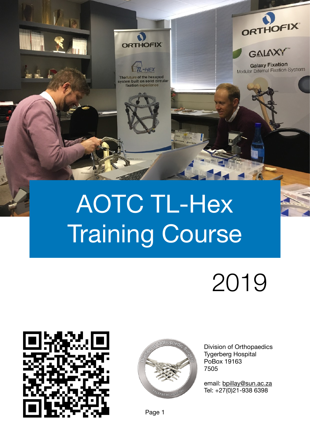

# AOTC TL-Hex Training Course

# 2019





Division of Orthopaedics Tygerberg Hospital PoBox 19163 7505

email: [bpillay@sun.ac.za](mailto:bpillay@sun.ac.za) Tel: +27(0)21-938 6398

Page 1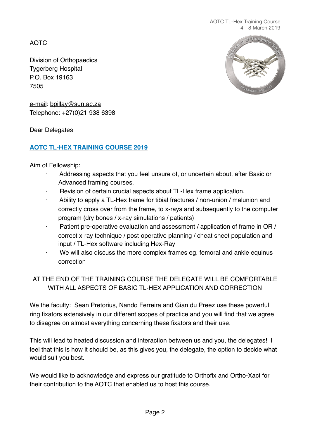AOTC

Division of Orthopaedics Tygerberg Hospital P.O. Box 19163 7505



e-mail: [bpillay@sun.ac.za](mailto:bpillay@sun.ac.za) Telephone: +27(0)21-938 6398

Dear Delegates

## **AOTC TL-HEX TRAINING COURSE 2019**

Aim of Fellowship:

- Addressing aspects that you feel unsure of, or uncertain about, after Basic or Advanced framing courses.
- Revision of certain crucial aspects about TL-Hex frame application.
- Ability to apply a TL-Hex frame for tibial fractures / non-union / malunion and correctly cross over from the frame, to x-rays and subsequently to the computer program (dry bones / x-ray simulations / patients)
- Patient pre-operative evaluation and assessment / application of frame in OR / correct x-ray technique / post-operative planning / cheat sheet population and input / TL-Hex software including Hex-Ray
- We will also discuss the more complex frames eg. femoral and ankle equinus correction

# AT THE END OF THE TRAINING COURSE THE DELEGATE WILL BE COMFORTABLE WITH ALL ASPECTS OF BASIC TL-HEX APPLICATION AND CORRECTION

We the faculty: Sean Pretorius, Nando Ferreira and Gian du Preez use these powerful ring fixators extensively in our different scopes of practice and you will find that we agree to disagree on almost everything concerning these fixators and their use.

This will lead to heated discussion and interaction between us and you, the delegates! I feel that this is how it should be, as this gives you, the delegate, the option to decide what would suit you best.

We would like to acknowledge and express our gratitude to Orthofix and Ortho-Xact for their contribution to the AOTC that enabled us to host this course.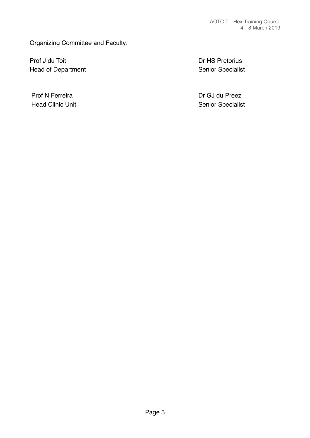#### Organizing Committee and Faculty:

Prof J du Toit **Branch and Transformation** Dr HS Pretorius Head of Department **Head of Department Exercise 20** and  $\alpha$  Senior Specialist

Prof N Ferreira **Dr GJ du Preez** Head Clinic Unit **Head Clinic Unit Head Clinic Unit Clinic Specialist Senior Specialist**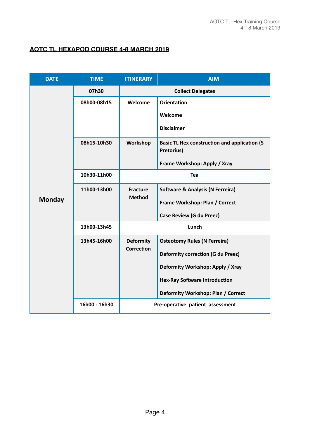#### **AOTC TL HEXAPOD COURSE 4-8 MARCH 2019**

| <b>DATE</b>   | <b>TIME</b>   | <b>ITINERARY</b>                      | <b>AIM</b>                                                        |
|---------------|---------------|---------------------------------------|-------------------------------------------------------------------|
| <b>Monday</b> | 07h30         | <b>Collect Delegates</b>              |                                                                   |
|               | 08h00-08h15   | Welcome                               | <b>Orientation</b>                                                |
|               |               |                                       | Welcome                                                           |
|               |               |                                       | <b>Disclaimer</b>                                                 |
|               | 08h15-10h30   | Workshop                              | <b>Basic TL Hex construction and application (S</b><br>Pretorius) |
|               |               |                                       | Frame Workshop: Apply / Xray                                      |
|               | 10h30-11h00   | <b>Tea</b>                            |                                                                   |
|               | 11h00-13h00   | <b>Fracture</b><br><b>Method</b>      | <b>Software &amp; Analysis (N Ferreira)</b>                       |
|               |               |                                       | Frame Workshop: Plan / Correct                                    |
|               |               |                                       | <b>Case Review (G du Preez)</b>                                   |
|               | 13h00-13h45   | Lunch                                 |                                                                   |
|               | 13h45-16h00   | <b>Deformity</b><br><b>Correction</b> | <b>Osteotomy Rules (N Ferreira)</b>                               |
|               |               |                                       | <b>Deformity correction (G du Preez)</b>                          |
|               |               |                                       | Deformity Workshop: Apply / Xray                                  |
|               |               |                                       | <b>Hex-Ray Software Introduction</b>                              |
|               |               |                                       | Deformity Workshop: Plan / Correct                                |
|               | 16h00 - 16h30 |                                       | Pre-operative patient assessment                                  |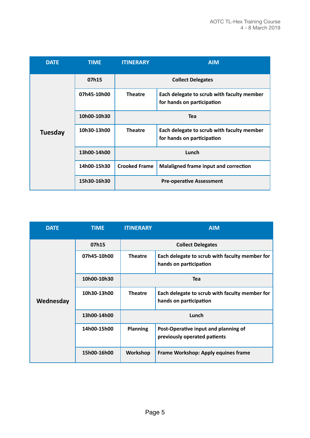| <b>DATE</b>    | <b>TIME</b> | <b>ITINERARY</b>         | <b>AIM</b>                                                               |
|----------------|-------------|--------------------------|--------------------------------------------------------------------------|
| <b>Tuesday</b> | 07h15       | <b>Collect Delegates</b> |                                                                          |
|                | 07h45-10h00 | <b>Theatre</b>           | Each delegate to scrub with faculty member<br>for hands on participation |
|                | 10h00-10h30 | <b>Tea</b>               |                                                                          |
|                | 10h30-13h00 | <b>Theatre</b>           | Each delegate to scrub with faculty member<br>for hands on participation |
|                | 13h00-14h00 | Lunch                    |                                                                          |
|                | 14h00-15h30 | <b>Crooked Frame</b>     | Malaligned frame input and correction                                    |
|                | 15h30-16h30 |                          | <b>Pre-operative Assessment</b>                                          |

| <b>DATE</b> | <b>TIME</b> | <b>ITINERARY</b>         | <b>AIM</b>                                                               |
|-------------|-------------|--------------------------|--------------------------------------------------------------------------|
| Wednesday   | 07h15       | <b>Collect Delegates</b> |                                                                          |
|             | 07h45-10h00 | <b>Theatre</b>           | Each delegate to scrub with faculty member for<br>hands on participation |
|             | 10h00-10h30 | Tea                      |                                                                          |
|             | 10h30-13h00 | <b>Theatre</b>           | Each delegate to scrub with faculty member for<br>hands on participation |
|             | 13h00-14h00 | Lunch                    |                                                                          |
|             | 14h00-15h00 | <b>Planning</b>          | Post-Operative input and planning of<br>previously operated patients     |
|             | 15h00-16h00 | Workshop                 | Frame Workshop: Apply equines frame                                      |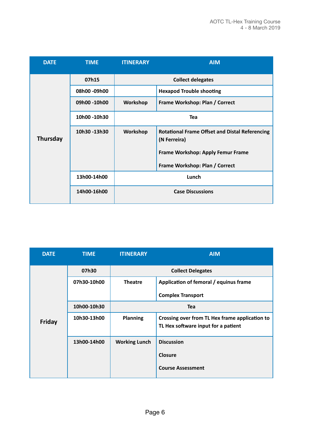| <b>DATE</b>     | <b>TIME</b>  | <b>ITINERARY</b>         | <b>AIM</b>                                                            |
|-----------------|--------------|--------------------------|-----------------------------------------------------------------------|
|                 | 07h15        | <b>Collect delegates</b> |                                                                       |
|                 | 08h00 -09h00 |                          | <b>Hexapod Trouble shooting</b>                                       |
|                 | 09h00 -10h00 | Workshop                 | Frame Workshop: Plan / Correct                                        |
|                 | 10h00 -10h30 | <b>Tea</b>               |                                                                       |
| <b>Thursday</b> | 10h30 -13h30 | Workshop                 | <b>Rotational Frame Offset and Distal Referencing</b><br>(N Ferreira) |
|                 |              |                          | Frame Workshop: Apply Femur Frame                                     |
|                 |              |                          | Frame Workshop: Plan / Correct                                        |
|                 | 13h00-14h00  | Lunch                    |                                                                       |
|                 | 14h00-16h00  | <b>Case Discussions</b>  |                                                                       |

| <b>DATE</b> | <b>TIME</b> | <b>ITINERARY</b>         | <b>AIM</b>                                                                            |
|-------------|-------------|--------------------------|---------------------------------------------------------------------------------------|
| Friday      | 07h30       | <b>Collect Delegates</b> |                                                                                       |
|             | 07h30-10h00 | <b>Theatre</b>           | Application of femoral / equinus frame                                                |
|             |             |                          | <b>Complex Transport</b>                                                              |
|             | 10h00-10h30 | <b>Tea</b>               |                                                                                       |
|             | 10h30-13h00 | <b>Planning</b>          | Crossing over from TL Hex frame application to<br>TL Hex software input for a patient |
|             | 13h00-14h00 | <b>Working Lunch</b>     | <b>Discussion</b>                                                                     |
|             |             |                          | Closure                                                                               |
|             |             |                          | <b>Course Assessment</b>                                                              |